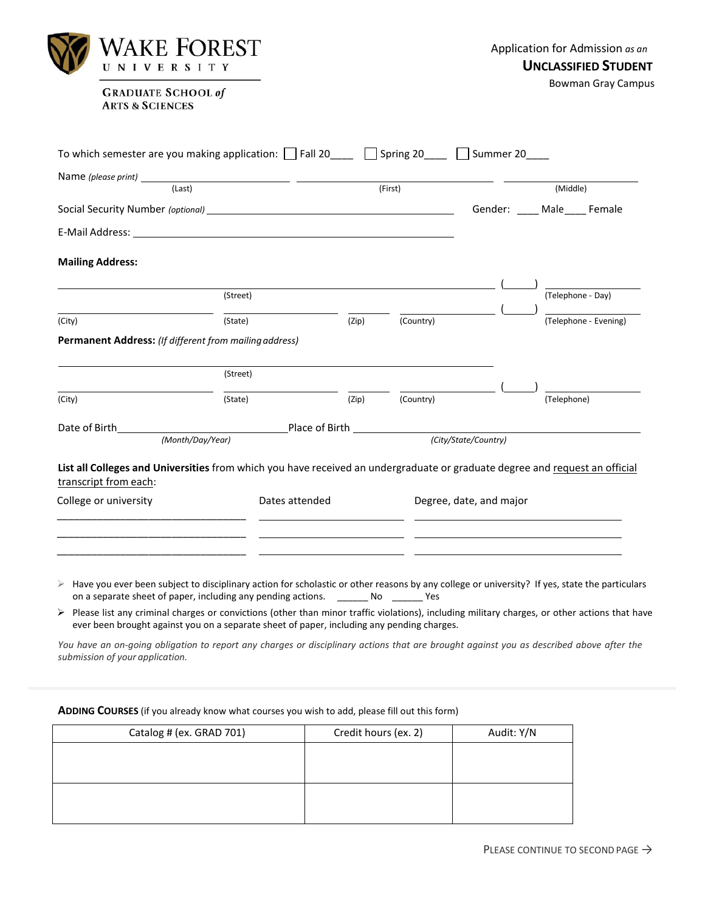| WAKE FOREST<br>UNIVERSITY                                                                                                                                                                                                      |          | Application for Admission as an<br><b>UNCLASSIFIED STUDENT</b> |           |                               |                           |  |
|--------------------------------------------------------------------------------------------------------------------------------------------------------------------------------------------------------------------------------|----------|----------------------------------------------------------------|-----------|-------------------------------|---------------------------|--|
| <b>GRADUATE SCHOOL of</b><br><b>ARTS &amp; SCIENCES</b>                                                                                                                                                                        |          |                                                                |           |                               | <b>Bowman Gray Campus</b> |  |
| To which semester are you making application: $\Box$ Fall 20___ $\Box$ Spring 20___ $\Box$ Summer 20___                                                                                                                        |          |                                                                |           |                               |                           |  |
|                                                                                                                                                                                                                                |          |                                                                |           |                               |                           |  |
| (Last)                                                                                                                                                                                                                         |          |                                                                | (First)   |                               | (Middle)                  |  |
|                                                                                                                                                                                                                                |          |                                                                |           | Gender: ____ Male ____ Female |                           |  |
| E-Mail Address: Universe and Secretary and Secretary and Secretary and Secretary and Secretary and Secretary and Secretary and Secretary and Secretary and Secretary and Secretary and Secretary and Secretary and Secretary a |          |                                                                |           |                               |                           |  |
| <b>Mailing Address:</b>                                                                                                                                                                                                        | (Street) |                                                                |           |                               | (Telephone - Day)         |  |
|                                                                                                                                                                                                                                |          |                                                                |           |                               |                           |  |
| (City)                                                                                                                                                                                                                         | (State)  | (Zip)                                                          | (Country) |                               | (Telephone - Evening)     |  |
| <b>Permanent Address:</b> (If different from mailing address)                                                                                                                                                                  |          |                                                                |           |                               |                           |  |
|                                                                                                                                                                                                                                | (Street) |                                                                |           |                               |                           |  |
| (City)                                                                                                                                                                                                                         | (State)  | (Zip)                                                          | (Country) |                               | (Telephone)               |  |
|                                                                                                                                                                                                                                |          |                                                                |           |                               |                           |  |
| (Month/Day/Year)                                                                                                                                                                                                               |          | (City/State/Country)                                           |           |                               |                           |  |
| List all Colleges and Universities from which you have received an undergraduate or graduate degree and request an official<br>transcript from each:                                                                           |          |                                                                |           |                               |                           |  |
| College or university<br>Dates attended                                                                                                                                                                                        |          |                                                                |           |                               | Degree, date, and major   |  |
|                                                                                                                                                                                                                                |          |                                                                |           |                               |                           |  |
|                                                                                                                                                                                                                                |          |                                                                |           |                               |                           |  |
|                                                                                                                                                                                                                                |          |                                                                |           |                               |                           |  |

- $\triangleright$  Have you ever been subject to disciplinary action for scholastic or other reasons by any college or university? If yes, state the particulars on a separate sheet of paper, including any pending actions. \_\_\_\_\_\_\_ No \_\_\_\_\_\_ Yes
- Please list any criminal charges or convictions (other than minor traffic violations), including military charges, or other actions that have ever been brought against you on a separate sheet of paper, including any pending charges.

You have an on-going obligation to report any charges or disciplinary actions that are brought against you as described above after the *submission of your application.*

| Catalog # (ex. GRAD 701) | Credit hours (ex. 2) | Audit: Y/N |
|--------------------------|----------------------|------------|
|                          |                      |            |
|                          |                      |            |
|                          |                      |            |
|                          |                      |            |

**ADDING COURSES** (if you already know what courses you wish to add, please fill out this form)